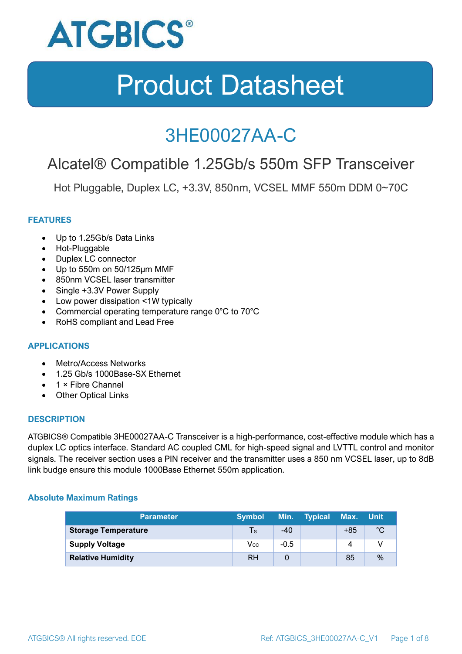

### 3HE00027AA-C

### Alcatel® Compatible 1.25Gb/s 550m SFP Transceiver

Hot Pluggable, Duplex LC, +3.3V, 850nm, VCSEL MMF 550m DDM 0~70C

#### **FEATURES**

- Up to 1.25Gb/s Data Links
- Hot-Pluggable
- Duplex LC connector
- Up to 550m on 50/125μm MMF
- 850nm VCSEL laser transmitter
- Single +3.3V Power Supply
- Low power dissipation <1W typically
- Commercial operating temperature range 0°C to 70°C
- RoHS compliant and Lead Free

#### **APPLICATIONS**

- Metro/Access Networks
- 1.25 Gb/s 1000Base-SX Ethernet
- 1 × Fibre Channel
- Other Optical Links

#### **DESCRIPTION**

ATGBICS® Compatible 3HE00027AA-C Transceiver is a high-performance, cost-effective module which has a duplex LC optics interface. Standard AC coupled CML for high-speed signal and LVTTL control and monitor signals. The receiver section uses a PIN receiver and the transmitter uses a 850 nm VCSEL laser, up to 8dB link budge ensure this module 1000Base Ethernet 550m application.

#### **Absolute Maximum Ratings**

| <b>Parameter</b>           | <b>Symbol</b> |        | Min. Typical | Max. Unit |      |
|----------------------------|---------------|--------|--------------|-----------|------|
| <b>Storage Temperature</b> | $\mathsf{Ts}$ | $-40$  |              | $+85$     | °C   |
| <b>Supply Voltage</b>      | Vcc           | $-0.5$ |              | 4         |      |
| <b>Relative Humidity</b>   | <b>RH</b>     |        |              | 85        | $\%$ |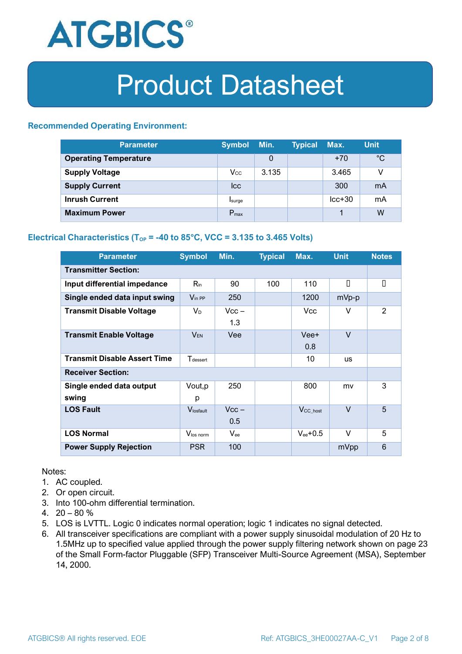

#### **Recommended Operating Environment:**

| <b>Parameter</b>             | <b>Symbol</b>    | Min.  | <b>Typical</b> | Max.     | <b>Unit</b> |
|------------------------------|------------------|-------|----------------|----------|-------------|
| <b>Operating Temperature</b> |                  | 0     |                | $+70$    | $^{\circ}C$ |
| <b>Supply Voltage</b>        | $V_{\rm CC}$     | 3.135 |                | 3.465    | v           |
| <b>Supply Current</b>        | <b>Icc</b>       |       |                | 300      | mA          |
| <b>Inrush Current</b>        | Isurge           |       |                | $lcc+30$ | mA          |
| <b>Maximum Power</b>         | $P_{\text{max}}$ |       |                |          | W           |

#### **Electrical Characteristics** ( $T_{OP}$  = -40 to 85°C, VCC = 3.135 to 3.465 Volts)

| <b>Parameter</b>                    | <b>Symbol</b>               | Min.           | <b>Typical</b> | Max.                  | <b>Unit</b> | <b>Notes</b> |  |
|-------------------------------------|-----------------------------|----------------|----------------|-----------------------|-------------|--------------|--|
| <b>Transmitter Section:</b>         |                             |                |                |                       |             |              |  |
| Input differential impedance        | $R_{\rm in}$                | 90             | 100            | 110                   | П           | О            |  |
| Single ended data input swing       | $V_{\text{in PP}}$          | 250            |                | 1200                  | mVp-p       |              |  |
| <b>Transmit Disable Voltage</b>     | $V_D$                       | $Vcc -$<br>1.3 |                | Vcc                   | V           | 2            |  |
| <b>Transmit Enable Voltage</b>      | $V_{EN}$                    | Vee            |                | Vee+<br>0.8           | $\vee$      |              |  |
| <b>Transmit Disable Assert Time</b> | <b>T</b> <sub>dessert</sub> |                |                | 10                    | <b>US</b>   |              |  |
| <b>Receiver Section:</b>            |                             |                |                |                       |             |              |  |
| Single ended data output<br>swing   | Vout, p<br>р                | 250            |                | 800                   | mv          | 3            |  |
| <b>LOS Fault</b>                    | Vlosfault                   | $Vcc -$<br>0.5 |                | $V_{\text{CC\_host}}$ | $\vee$      | 5            |  |
| <b>LOS Normal</b>                   | Vlos norm                   | $V_{\rm ee}$   |                | $V_{ee}$ +0.5         | V           | 5            |  |
| <b>Power Supply Rejection</b>       | <b>PSR</b>                  | 100            |                |                       | mVpp        | 6            |  |

Notes:

- 1. AC coupled.
- 2. Or open circuit.
- 3. Into 100-ohm differential termination.
- 4.  $20 80 \%$
- 5. LOS is LVTTL. Logic 0 indicates normal operation; logic 1 indicates no signal detected.
- 6. All transceiver specifications are compliant with a power supply sinusoidal modulation of 20 Hz to 1.5MHz up to specified value applied through the power supply filtering network shown on page 23 of the Small Form-factor Pluggable (SFP) Transceiver Multi-Source Agreement (MSA), September 14, 2000.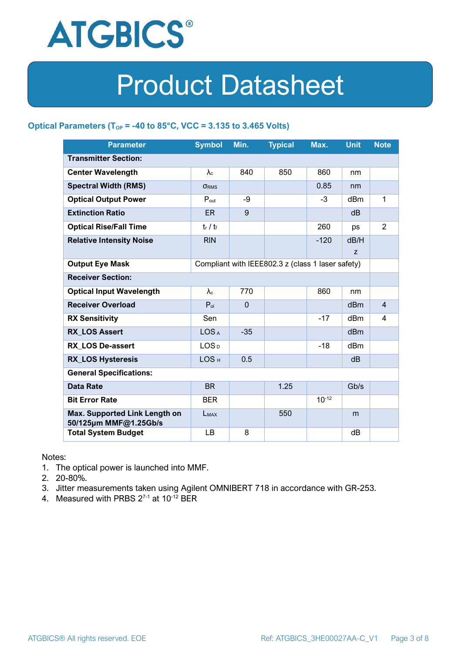

#### **Optical Parameters** ( $T_{OP}$  = -40 to 85°C, VCC = 3.135 to 3.465 Volts)

| <b>Parameter</b>                                                            | <b>Symbol</b>     | Min.         | <b>Typical</b> | Max.       | <b>Unit</b>     | <b>Note</b>    |
|-----------------------------------------------------------------------------|-------------------|--------------|----------------|------------|-----------------|----------------|
| <b>Transmitter Section:</b>                                                 |                   |              |                |            |                 |                |
| <b>Center Wavelength</b>                                                    | $\lambda_c$       | 840          | 850            | 860        | nm              |                |
| <b>Spectral Width (RMS)</b>                                                 | <b>ORMS</b>       |              |                | 0.85       | nm              |                |
| <b>Optical Output Power</b>                                                 | $P_{\text{out}}$  | -9           |                | $-3$       | dBm             | 1              |
| <b>Extinction Ratio</b>                                                     | <b>ER</b>         | 9            |                |            | dB              |                |
| <b>Optical Rise/Fall Time</b>                                               | $t_r / t_f$       |              |                | 260        | ps              | $\overline{2}$ |
| <b>Relative Intensity Noise</b>                                             | <b>RIN</b>        |              |                | $-120$     | dB/H            |                |
|                                                                             |                   |              |                |            | Z               |                |
| <b>Output Eye Mask</b><br>Compliant with IEEE802.3 z (class 1 laser safety) |                   |              |                |            |                 |                |
| <b>Receiver Section:</b>                                                    |                   |              |                |            |                 |                |
| <b>Optical Input Wavelength</b>                                             | $\lambda_{\rm c}$ | 770          |                | 860        | nm              |                |
| <b>Receiver Overload</b>                                                    | $P_{ol}$          | $\mathbf{0}$ |                |            | dBm             | $\overline{4}$ |
| <b>RX Sensitivity</b>                                                       | Sen               |              |                | $-17$      | dBm             | 4              |
| <b>RX LOS Assert</b>                                                        | LOS <sub>A</sub>  | $-35$        |                |            | d <sub>Bm</sub> |                |
| <b>RX LOS De-assert</b>                                                     | LOS <sub>D</sub>  |              |                | $-18$      | dB <sub>m</sub> |                |
| <b>RX_LOS Hysteresis</b>                                                    | LOS <sub>H</sub>  | 0.5          |                |            | d <sub>B</sub>  |                |
| <b>General Specifications:</b>                                              |                   |              |                |            |                 |                |
| <b>Data Rate</b>                                                            | <b>BR</b>         |              | 1.25           |            | Gb/s            |                |
| <b>Bit Error Rate</b>                                                       | <b>BER</b>        |              |                | $10^{-12}$ |                 |                |
| Max. Supported Link Length on<br>50/125µm MMF@1.25Gb/s                      | LMAX              |              | 550            |            | m               |                |
| <b>Total System Budget</b>                                                  | LB                | 8            |                |            | dB              |                |

Notes:

- 1. The optical power is launched into MMF.
- 2. 20-80%.
- 3. Jitter measurements taken using Agilent OMNIBERT 718 in accordance with GR-253.
- 4. Measured with PRBS  $2^{7-1}$  at 10<sup>-12</sup> BER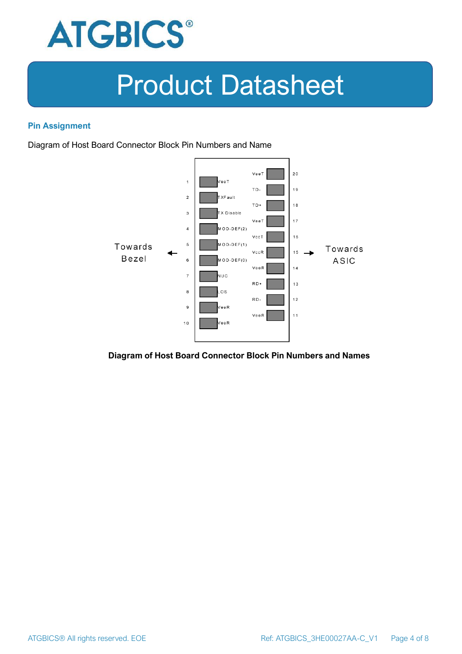

#### **Pin Assignment**

Diagram of Host Board Connector Block Pin Numbers and Name



**Diagram of Host Board Connector Block Pin Numbers and Names**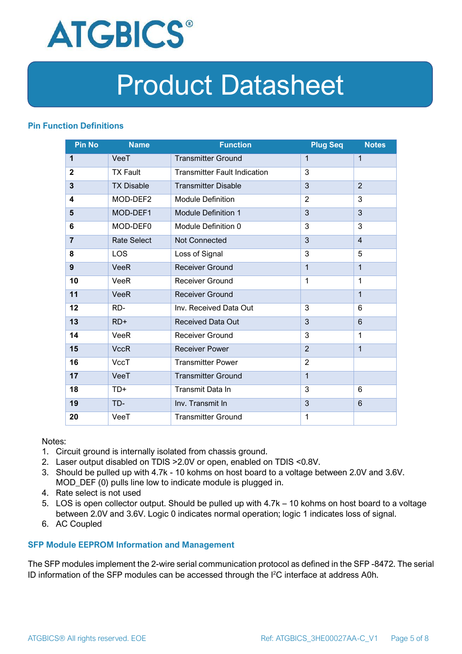

#### **Pin Function Definitions**

| <b>Pin No</b>  | <b>Name</b>        | <b>Function</b>                     | <b>Plug Seq</b> | <b>Notes</b>   |
|----------------|--------------------|-------------------------------------|-----------------|----------------|
| 1              | VeeT               | <b>Transmitter Ground</b>           | $\mathbf 1$     | $\mathbf 1$    |
| $\overline{2}$ | <b>TX Fault</b>    | <b>Transmitter Fault Indication</b> | 3               |                |
| 3              | <b>TX Disable</b>  | <b>Transmitter Disable</b>          | 3               | $\overline{2}$ |
| 4              | MOD-DEF2           | <b>Module Definition</b>            | $\overline{2}$  | 3              |
| 5              | MOD-DEF1           | <b>Module Definition 1</b>          | 3               | 3              |
| 6              | MOD-DEF0           | Module Definition 0                 | 3               | 3              |
| $\overline{7}$ | <b>Rate Select</b> | Not Connected                       | 3               | $\overline{4}$ |
| 8              | <b>LOS</b>         | Loss of Signal                      | 3               | 5              |
| 9              | <b>VeeR</b>        | <b>Receiver Ground</b>              | $\mathbf 1$     | $\mathbf{1}$   |
| 10             | VeeR               | Receiver Ground                     | $\mathbf{1}$    | 1              |
| 11             | <b>VeeR</b>        | <b>Receiver Ground</b>              |                 | $\mathbf{1}$   |
| 12             | RD-                | Inv. Received Data Out              | 3               | 6              |
| 13             | $RD+$              | <b>Received Data Out</b>            | 3               | $6\phantom{1}$ |
| 14             | <b>VeeR</b>        | <b>Receiver Ground</b>              | 3               | 1              |
| 15             | <b>VccR</b>        | <b>Receiver Power</b>               | $\overline{2}$  | $\mathbf{1}$   |
| 16             | <b>VccT</b>        | <b>Transmitter Power</b>            | $\overline{2}$  |                |
| 17             | VeeT               | <b>Transmitter Ground</b>           | $\mathbf{1}$    |                |
| 18             | $TD+$              | Transmit Data In                    | 3               | 6              |
| 19             | TD-                | Inv. Transmit In                    | 3               | $6\phantom{1}$ |
| 20             | VeeT               | <b>Transmitter Ground</b>           | 1               |                |

Notes:

- 1. Circuit ground is internally isolated from chassis ground.
- 2. Laser output disabled on TDIS >2.0V or open, enabled on TDIS <0.8V.
- 3. Should be pulled up with 4.7k 10 kohms on host board to a voltage between 2.0V and 3.6V. MOD\_DEF (0) pulls line low to indicate module is plugged in.
- 4. Rate select is not used
- 5. LOS is open collector output. Should be pulled up with 4.7k 10 kohms on host board to a voltage between 2.0V and 3.6V. Logic 0 indicates normal operation; logic 1 indicates loss of signal.
- 6. AC Coupled

#### **SFP Module EEPROM Information and Management**

The SFP modules implement the 2-wire serial communication protocol as defined in the SFP -8472. The serial ID information of the SFP modules can be accessed through the I2C interface at address A0h.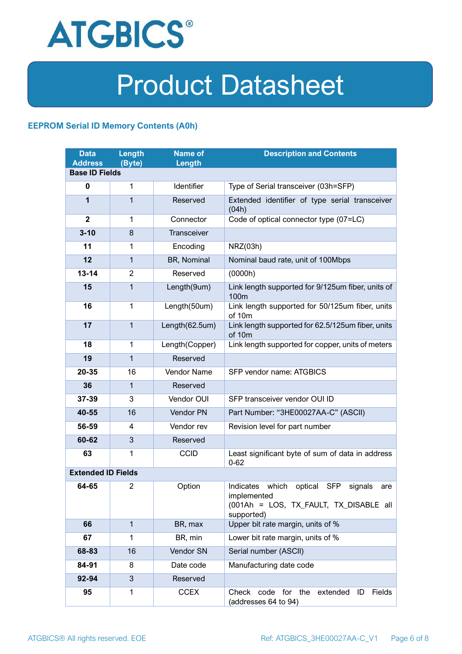

#### **EEPROM Serial ID Memory Contents (A0h)**

| <b>Data</b><br><b>Address</b> | <b>Length</b><br>(Byte) | <b>Name of</b><br>Length | <b>Description and Contents</b>                                                                                         |  |  |
|-------------------------------|-------------------------|--------------------------|-------------------------------------------------------------------------------------------------------------------------|--|--|
| <b>Base ID Fields</b>         |                         |                          |                                                                                                                         |  |  |
| $\mathbf 0$                   | 1                       | Identifier               | Type of Serial transceiver (03h=SFP)                                                                                    |  |  |
| 1                             | 1                       | Reserved                 | Extended identifier of type serial transceiver<br>(04h)                                                                 |  |  |
| $\overline{2}$                | 1                       | Connector                | Code of optical connector type (07=LC)                                                                                  |  |  |
| $3 - 10$                      | 8                       | <b>Transceiver</b>       |                                                                                                                         |  |  |
| 11                            | 1                       | Encoding                 | NRZ(03h)                                                                                                                |  |  |
| 12                            | $\mathbf{1}$            | BR, Nominal              | Nominal baud rate, unit of 100Mbps                                                                                      |  |  |
| $13 - 14$                     | $\overline{2}$          | Reserved                 | (0000h)                                                                                                                 |  |  |
| 15                            | 1                       | Length(9um)              | Link length supported for 9/125um fiber, units of<br>100 <sub>m</sub>                                                   |  |  |
| 16                            | $\mathbf 1$             | Length(50um)             | Link length supported for 50/125um fiber, units<br>of 10m                                                               |  |  |
| 17                            | $\mathbf{1}$            | Length(62.5um)           | Link length supported for 62.5/125um fiber, units<br>of 10m                                                             |  |  |
| 18                            | $\mathbf{1}$            | Length(Copper)           | Link length supported for copper, units of meters                                                                       |  |  |
| 19                            | 1                       | Reserved                 |                                                                                                                         |  |  |
| 20-35                         | 16                      | Vendor Name              | SFP vendor name: ATGBICS                                                                                                |  |  |
| 36                            | 1                       | Reserved                 |                                                                                                                         |  |  |
| 37-39                         | 3                       | Vendor OUI               | SFP transceiver vendor OUI ID                                                                                           |  |  |
| 40-55                         | 16                      | Vendor PN                | Part Number: "3HE00027AA-C" (ASCII)                                                                                     |  |  |
| 56-59                         | 4                       | Vendor rev               | Revision level for part number                                                                                          |  |  |
| 60-62                         | 3                       | Reserved                 |                                                                                                                         |  |  |
| 63                            | 1                       | <b>CCID</b>              | Least significant byte of sum of data in address<br>$0 - 62$                                                            |  |  |
| <b>Extended ID Fields</b>     |                         |                          |                                                                                                                         |  |  |
| 64-65                         | 2                       | Option                   | Indicates which<br>optical SFP<br>signals<br>are<br>implemented<br>(001Ah = LOS, TX FAULT, TX DISABLE all<br>supported) |  |  |
| 66                            | $\mathbf{1}$            | BR, max                  | Upper bit rate margin, units of %                                                                                       |  |  |
| 67                            | 1                       | BR, min                  | Lower bit rate margin, units of %                                                                                       |  |  |
| 68-83                         | 16                      | Vendor SN                | Serial number (ASCII)                                                                                                   |  |  |
| 84-91                         | 8                       | Date code                | Manufacturing date code                                                                                                 |  |  |
| 92-94                         | 3                       | Reserved                 |                                                                                                                         |  |  |
| 95                            | 1                       | <b>CCEX</b>              | Check code for the<br>Fields<br>extended<br>ID<br>(addresses 64 to 94)                                                  |  |  |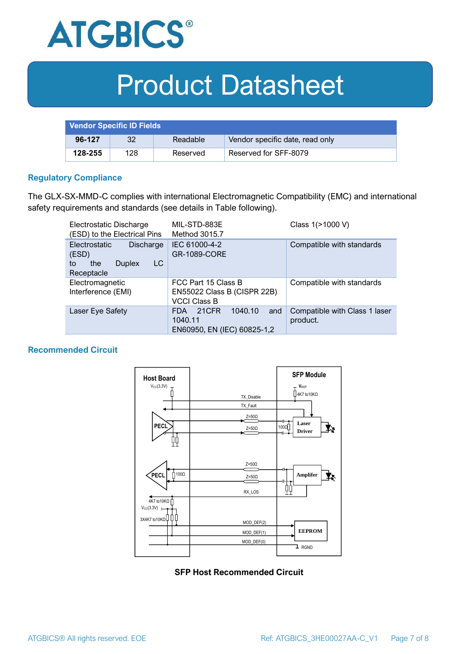

| <b>Vendor Specific ID Fields</b> |     |          |                                 |
|----------------------------------|-----|----------|---------------------------------|
| 96-127                           | 32  | Readable | Vendor specific date, read only |
| 128-255                          | 128 | Reserved | Reserved for SFF-8079           |

#### **Regulatory Compliance**

The GLX-SX-MMD-C complies with international Electromagnetic Compatibility (EMC) and international safety requirements and standards (see details in Table following).

| Electrostatic Discharge<br>(ESD) to the Electrical Pins                                      | MIL-STD-883E<br>Method 3015.7                                                   | Class 1(>1000 V)                          |  |
|----------------------------------------------------------------------------------------------|---------------------------------------------------------------------------------|-------------------------------------------|--|
| <b>Electrostatic</b><br>Discharge<br>(ESD)<br>LC<br>the<br><b>Duplex</b><br>to<br>Receptacle | IEC 61000-4-2<br><b>GR-1089-CORE</b>                                            | Compatible with standards                 |  |
| Electromagnetic<br>Interference (EMI)                                                        | FCC Part 15 Class B<br>EN55022 Class B (CISPR 22B)<br><b>VCCI Class B</b>       | Compatible with standards                 |  |
| Laser Eye Safety                                                                             | 1040.10<br>21CFR<br>and<br><b>FDA</b><br>1040.11<br>EN60950, EN (IEC) 60825-1,2 | Compatible with Class 1 laser<br>product. |  |

#### **Recommended Circuit**



#### **SFP Host Recommended Circuit**